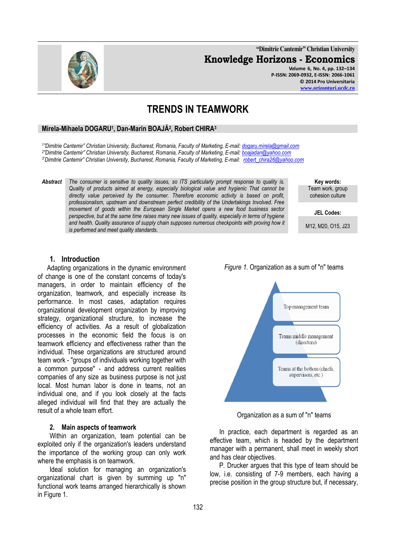132

**"Dimitrie Cantemir" Christian University Knowledge Horizons - Economics Volume 6, No. 4, pp. 132–134 P-ISSN: 2069-0932, E-ISSN: 2066-1061**

**© 2014 Pro Universitaria [www.orizonturi.ucdc.ro](http://www.orizonturi.ucdc.ro/)**

# **TRENDS IN TEAMWORK**

## **Mirela-Mihaela DOGARU<sup>1</sup> , Dan-Marin BOAJĂ<sup>2</sup> , Robert CHIRA<sup>3</sup>**

*1 "Dimitrie Cantemir" Christian University, Bucharest, Romania, Faculty of Marketing, E-mail: [dogaru.mirela@gmail.com](mailto:dogaru.mirela@gmail.com) 2 "Dimitrie Cantemir" Christian University, Bucharest, Romania, Faculty of Marketing, E-mail: [boajadan@yahoo.com](mailto:boajadan@yahoo.com) 3"Dimitrie Cantemir" Christian University, Bucharest, Romania, Faculty of Marketing, E-mail: [robert\\_chira26@yahoo.com](mailto:robert_chira26@yahoo.com)*

*Abstract The consumer is sensitive to quality issues, so ITS particularly prompt response to quality is. Quality of products aimed at energy, especially biological value and hygienic That cannot be directly value perceived by the consumer. Therefore economic activity is based on profit, professionalism, upstream and downstream perfect credibility of the Undertakings Involved. Free movement of goods within the European Single Market opens a new food business sector perspective, but at the same time raises many new issues of quality, especially in terms of hygiene and health. Quality assurance of supply chain supposes numerous checkpoints with proving how it is performed and meet quality standards.*

**Key words:** Team work, group cohesion culture

**JEL Codes:**

M12, M20, O15, J23

## **1. Introduction**

Adapting organizations in the dynamic environment of change is one of the constant concerns of today's managers, in order to maintain efficiency of the organization, teamwork, and especially increase its performance. In most cases, adaptation requires organizational development organization by improving strategy, organizational structure, to increase the efficiency of activities. As a result of globalization processes in the economic field the focus is on teamwork efficiency and effectiveness rather than the individual. These organizations are structured around team work - "groups of individuals working together with a common purpose" - and address current realities companies of any size as business purpose is not just local. Most human labor is done in teams, not an individual one, and if you look closely at the facts alleged individual will find that they are actually the result of a whole team effort.

#### **2. Main aspects of teamwork**

Within an organization, team potential can be exploited only if the organization's leaders understand the importance of the working group can only work where the emphasis is on teamwork.

Ideal solution for managing an organization's organizational chart is given by summing up "n" functional work teams arranged hierarchically is shown in Figure 1.



*Figure 1.* Organization as a sum of "n" teams

Organization as a sum of "n" teams

In practice, each department is regarded as an effective team, which is headed by the department manager with a permanent, shall meet in weekly short and has clear objectives.

P. Drucker argues that this type of team should be low, i.e. consisting of 7-9 members, each having a precise position in the group structure but, if necessary,

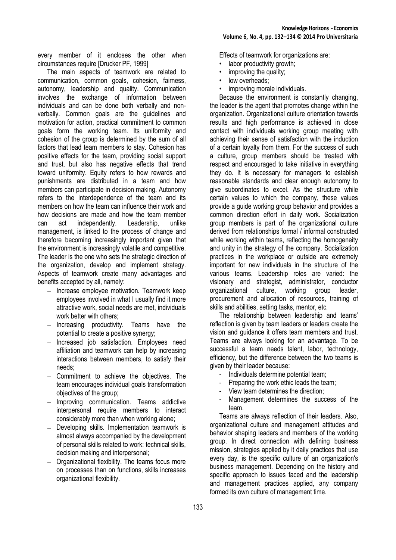every member of it encloses the other when circumstances require [Drucker PF, 1999]

The main aspects of teamwork are related to communication, common goals, cohesion, fairness, autonomy, leadership and quality. Communication involves the exchange of information between individuals and can be done both verbally and nonverbally. Common goals are the guidelines and motivation for action, practical commitment to common goals form the working team. Its uniformity and cohesion of the group is determined by the sum of all factors that lead team members to stay. Cohesion has positive effects for the team, providing social support and trust, but also has negative effects that trend toward uniformity. Equity refers to how rewards and punishments are distributed in a team and how members can participate in decision making. Autonomy refers to the interdependence of the team and its members on how the team can influence their work and how decisions are made and how the team member<br>can act independently. Leadership, unlike can act independently. Leadership, unlike management, is linked to the process of change and therefore becoming increasingly important given that the environment is increasingly volatile and competitive. The leader is the one who sets the strategic direction of the organization, develop and implement strategy. Aspects of teamwork create many advantages and benefits accepted by all, namely:

- Increase employee motivation. Teamwork keep employees involved in what I usually find it more attractive work, social needs are met, individuals work better with others;
- Increasing productivity. Teams have the  $\equiv$ potential to create a positive synergy;
- Increased job satisfaction. Employees need affiliation and teamwork can help by increasing interactions between members, to satisfy their needs;
- $-$  Commitment to achieve the objectives. The team encourages individual goals transformation objectives of the group;
- Improving communication. Teams addictive interpersonal require members to interact considerably more than when working alone;
- Developing skills. Implementation teamwork is  $\overline{\phantom{0}}$ almost always accompanied by the development of personal skills related to work: technical skills, decision making and interpersonal;
- Organizational flexibility. The teams focus more on processes than on functions, skills increases organizational flexibility.

Effects of teamwork for organizations are:

- labor productivity growth;<br>• improving the quality:
- improving the quality;
- low overheads:
- improving morale individuals.

Because the environment is constantly changing, the leader is the agent that promotes change within the organization. Organizational culture orientation towards results and high performance is achieved in close contact with individuals working group meeting with achieving their sense of satisfaction with the induction of a certain loyalty from them. For the success of such a culture, group members should be treated with respect and encouraged to take initiative in everything they do. It is necessary for managers to establish reasonable standards and clear enough autonomy to give subordinates to excel. As the structure while certain values to which the company, these values provide a guide working group behavior and provides a common direction effort in daily work. Socialization group members is part of the organizational culture derived from relationships formal / informal constructed while working within teams, reflecting the homogeneity and unity in the strategy of the company. Socialization practices in the workplace or outside are extremely important for new individuals in the structure of the various teams. Leadership roles are varied: the visionary and strategist, administrator, conductor organizational culture, working group leader, procurement and allocation of resources, training of skills and abilities, setting tasks, mentor, etc.

The relationship between leadership and teams' reflection is given by team leaders or leaders create the vision and guidance it offers team members and trust. Teams are always looking for an advantage. To be successful a team needs talent, labor, technology, efficiency, but the difference between the two teams is given by their leader because:

- Individuals determine potential team;
- Preparing the work ethic leads the team;
- View team determines the direction;
- Management determines the success of the team.

Teams are always reflection of their leaders. Also, organizational culture and management attitudes and behavior shaping leaders and members of the working group. In direct connection with defining business mission, strategies applied by it daily practices that use every day, is the specific culture of an organization's business management. Depending on the history and specific approach to issues faced and the leadership and management practices applied, any company formed its own culture of management time.